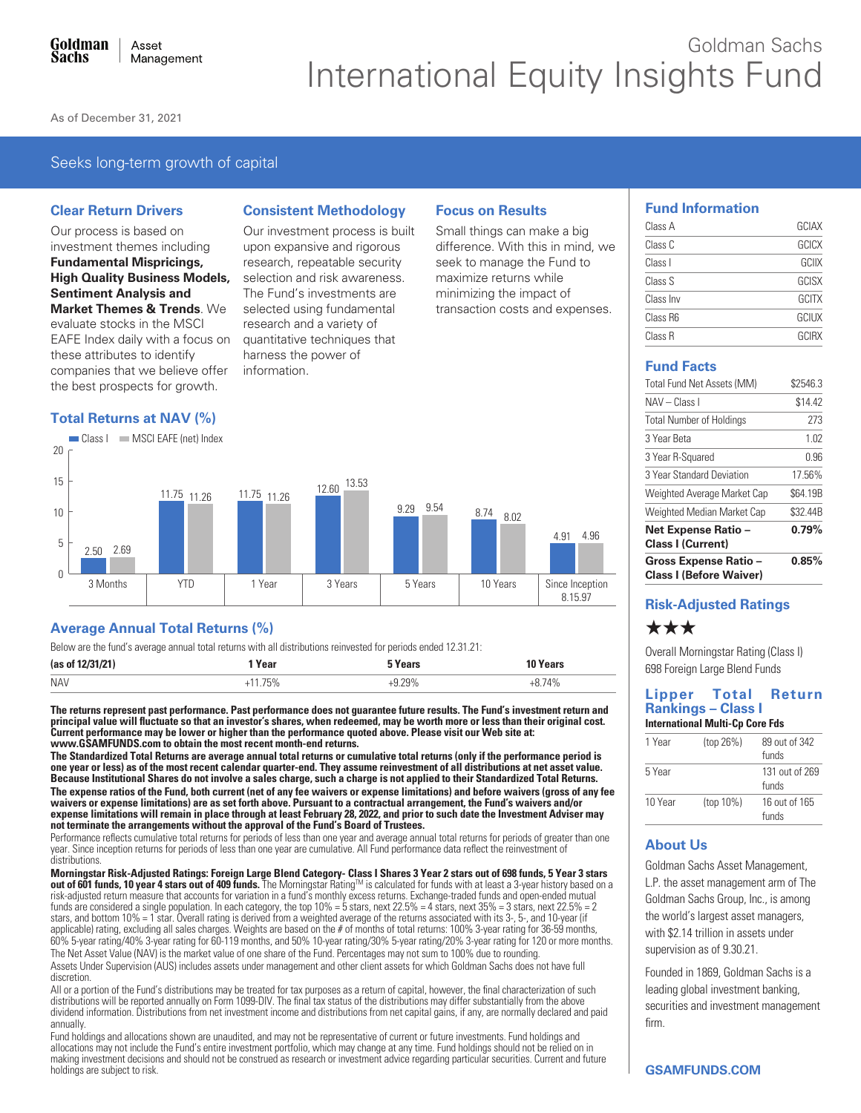# Goldman Sachs International Equity Insights Fund

As of December 31, 2021

## Seeks long-term growth of capital

#### **Clear Return Drivers**

Our process is based on investment themes including **Fundamental Mispricings, High Quality Business Models, Sentiment Analysis and Market Themes & Trends. We** evaluate stocks in the MSCI EAFE Index daily with a focus on these attributes to identify companies that we believe offer the best prospects for growth.

### **Total Returns at NAV (%)**

 $20$ 

Class | MSCI EAFE (net) Index

## **Consistent Methodology**

Our investment process is built upon expansive and rigorous research, repeatable security selection and risk awareness. The Fund's investments are selected using fundamental research and a variety of quantitative techniques that harness the power of information.

## **Focus on Results**

Small things can make a big difference. With this in mind, we seek to manage the Fund to maximize returns while minimizing the impact of transaction costs and expenses.



## **Fund Facts**

| <b>Gross Expense Ratio -</b><br><b>Class I (Before Waiver)</b> | 0.85%    |
|----------------------------------------------------------------|----------|
| Net Expense Ratio -<br><b>Class I (Current)</b>                | 0.79%    |
| Weighted Median Market Cap                                     | \$32.44B |
| Weighted Average Market Cap                                    | \$64.19B |
| 3 Year Standard Deviation                                      | 17.56%   |
| 3 Year R-Squared                                               | 0.96     |
| 3 Year Beta                                                    | 1.02     |
| <b>Total Number of Holdings</b>                                | 273      |
| NAV - Class I                                                  | \$14.42  |
| Total Fund Net Assets (MM)                                     | \$2546.3 |

## **Risk-Adjusted Ratings**

## \*\*\*

Overall Morningstar Rating (Class I) 698 Foreign Large Blend Funds

#### Lipper Total Return **Rankings - Class I International Multi-Cp Core Fds**

| 1 Year  | (top 26%) | 89 out of 342<br>funds  |
|---------|-----------|-------------------------|
| 5 Year  |           | 131 out of 269<br>funds |
| 10 Year | (top 10%) | 16 out of 165<br>funds  |

## **About Us**

Goldman Sachs Asset Management, L.P. the asset management arm of The Goldman Sachs Group, Inc., is among the world's largest asset managers, with \$2.14 trillion in assets under supervision as of 9.30.21.

Founded in 1869, Goldman Sachs is a leading global investment banking, securities and investment management firm.

#### 15 13.53 12.60 11.75 11.26 11.75 11.26 9.29 9.54  $10$ 8.74 8.02 4 91 4.96  $\overline{5}$  $2.50$   $2.69$  $\Omega$ Since Inception 3 Months **YTD** 1 Year 3 Years 5 Years 10 Years 8.15.97

## **Average Annual Total Returns (%)**

Below are the fund's average annual total returns with all distributions reinvested for periods ended 12.31.21:

| (as of 12/31/21) | $V \cap T$ | Years | $\mathbf{v}$ and $\mathbf{v}$<br>∵ear⊾ |
|------------------|------------|-------|----------------------------------------|
| <b>NAV</b>       |            | 700/  | 710/<br>-70                            |
|                  |            |       |                                        |

The returns represent past performance. Past performance does not guarantee future results. The Fund's investment return and principal value will fluctuate so that an investor's shares, when redeemed, may be worth more or less than their original cost.<br>Current performance may be lower or higher than the performance quoted above. Please visit our www.GSAMFUNDS.com to obtain the most recent month-end returns.

The Standardized Total Returns are average annual total returns or cumulative total returns (only if the performance period is one year or less) as of the most recent calendar quarter-end. They assume reinvestment of all distributions at net asset value. Because Institutional Shares do not involve a sales charge, such a charge is not applied to their Standardized Total Returns. The expense ratios of the Fund, both current (net of any fee waivers or expense limitations) and before waivers (gross of any fee waivers or expense limitations) are as set forth above. Pursuant to a contractual arrangement, the Fund's waivers and/or expense limitations will remain in place through at least February 28, 2022, and prior to such date the Investment Adviser may not terminate the arrangements without the approval of the Fund's Board of Trustees.

Performance reflects cumulative total returns for periods of less than one year and average annual total returns for periods of greater than one year. Since inception returns for periods of less than one year are cumulative. All Fund performance data reflect the reinvestment of distributions.

Morningstar Risk-Adjusted Ratings: Foreign Large Blend Category- Class I Shares 3 Year 2 stars out of 698 funds, 5 Year 3 stars out of 601 funds, 10 year 4 stars out of 409 funds. The Morningstar Rating™ is calculated for funds with at least a 3-year history based on a risk-adjusted return measure that accounts for variation in a fund's monthly excess returns. Exchange-traded funds and open-ended mutual funds are considered a single population. In each category, the top  $10\% = 5$  stars, next  $22.5\% = 4$  stars, next  $35\% = 3$  stars, next  $22.5\% = 2$ stars, and bottom 10% = 1 star. Overall rating is derived from a weighted average of the returns associated with its 3-, 5-, and 10-year (if applicable) rating, excluding all sales charges. Weights are based on the # of months of total returns: 100% 3-year rating for 36-59 months, 60% 5-year rating for 36-59 months, 60% 5-year rating for 120 or more months. The Net Asset Value (NAV) is the market value of one share of the Fund. Percentages may not sum to 100% due to rounding. Assets Under Supervision (AUS) includes assets under management and other client assets for which Goldman Sachs does not have full discretion.

All or a portion of the Fund's distributions may be treated for tax purposes as a return of capital, however, the final characterization of such distributions will be reported annually on Form 1099-DIV. The final tax status of the distributions may differ substantially from the above dividend information. Distributions from net investment income and distributions from net capital gains, if any, are normally declared and paid annually.

Fund holdings and allocations shown are unaudited, and may not be representative of current or future investments. Fund holdings and allocations may not include the Fund's entire investment portfolio, which may change at any time. Fund holdings should not be relied on in<br>making investment decisions and should not be construed as research or investment a holdings are subject to risk.